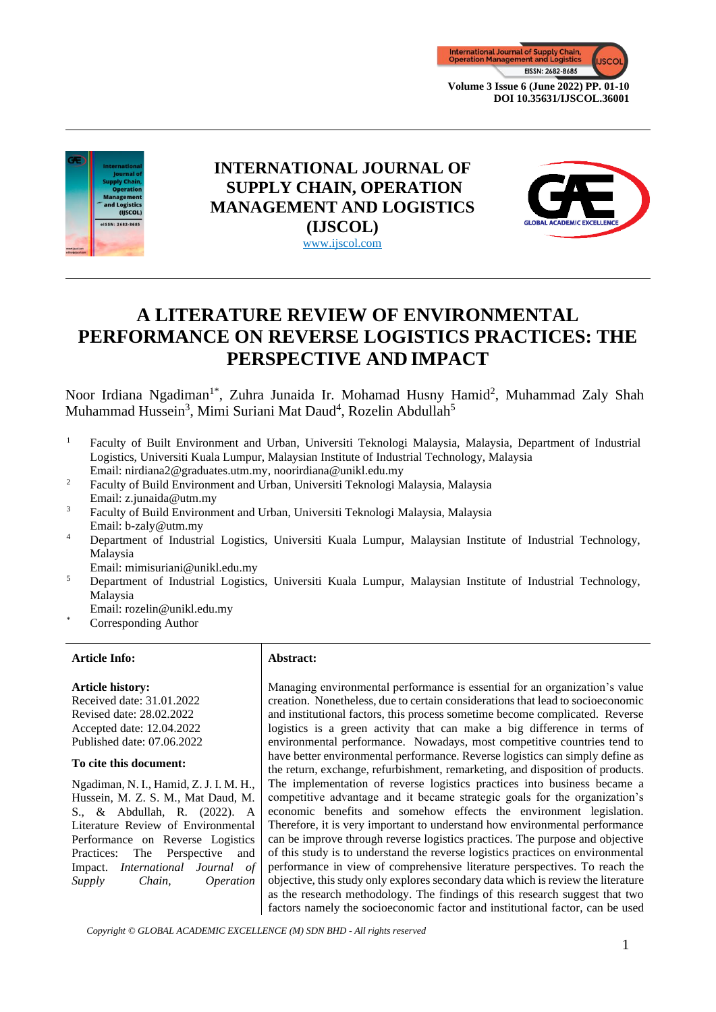



# **INTERNATIONAL JOURNAL OF SUPPLY CHAIN, OPERATION MANAGEMENT AND LOGISTICS (IJSCOL)** www.ijscol.com



# **A LITERATURE REVIEW OF ENVIRONMENTAL PERFORMANCE ON REVERSE LOGISTICS PRACTICES: THE PERSPECTIVE AND IMPACT**

Noor Irdiana Ngadiman<sup>1\*</sup>, Zuhra Junaida Ir. Mohamad Husny Hamid<sup>2</sup>, Muhammad Zaly Shah Muhammad Hussein<sup>3</sup>, Mimi Suriani Mat Daud<sup>4</sup>, Rozelin Abdullah<sup>5</sup>

- <sup>1</sup> Faculty of Built Environment and Urban, Universiti Teknologi Malaysia, Malaysia, Department of Industrial Logistics, Universiti Kuala Lumpur, Malaysian Institute of Industrial Technology, Malaysia Email: nirdiana2@graduates.utm.my, noorirdiana@unikl.edu.my
- <sup>2</sup> Faculty of Build Environment and Urban, Universiti Teknologi Malaysia, Malaysia Email: z.junaida@utm.my
- 3 Faculty of Build Environment and Urban, Universiti Teknologi Malaysia, Malaysia Email: b-zaly@utm.my
- 4 Department of Industrial Logistics, Universiti Kuala Lumpur, Malaysian Institute of Industrial Technology, Malaysia
- Email: mimisuriani@unikl.edu.my
- 5 Department of Industrial Logistics, Universiti Kuala Lumpur, Malaysian Institute of Industrial Technology, Malaysia
- Email: rozelin@unikl.edu.my
- Corresponding Author

#### **Article Info: Abstract:**

#### **Article history:**

Received date: 31.01.2022 Revised date: 28.02.2022 Accepted date: 12.04.2022 Published date: 07.06.2022

#### **To cite this document:**

Ngadiman, N. I., Hamid, Z. J. I. M. H., Hussein, M. Z. S. M., Mat Daud, M. S., & Abdullah, R. (2022). A Literature Review of Environmental Performance on Reverse Logistics Practices: The Perspective and Impact. *International Journal of Supply Chain, Operation* 

Managing environmental performance is essential for an organization's value creation. Nonetheless, due to certain considerations that lead to socioeconomic and institutional factors, this process sometime become complicated. Reverse logistics is a green activity that can make a big difference in terms of environmental performance. Nowadays, most competitive countries tend to have better environmental performance. Reverse logistics can simply define as the return, exchange, refurbishment, remarketing, and disposition of products. The implementation of reverse logistics practices into business became a competitive advantage and it became strategic goals for the organization's economic benefits and somehow effects the environment legislation. Therefore, it is very important to understand how environmental performance can be improve through reverse logistics practices. The purpose and objective of this study is to understand the reverse logistics practices on environmental performance in view of comprehensive literature perspectives. To reach the objective, this study only explores secondary data which is review the literature as the research methodology. The findings of this research suggest that two factors namely the socioeconomic factor and institutional factor, can be used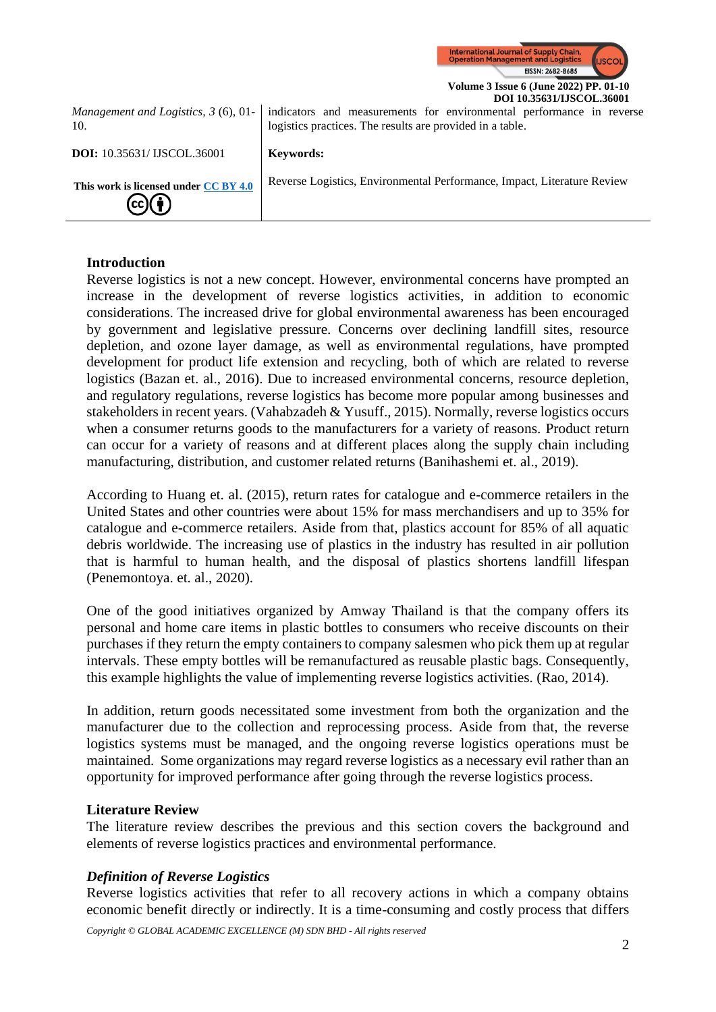

**DOI 10.35631/IJSCOL.36001**

| Management and Logistics, $3(6)$ , 01-<br>10. | indicators and measurements for environmental performance in reverse<br>logistics practices. The results are provided in a table. |  |
|-----------------------------------------------|-----------------------------------------------------------------------------------------------------------------------------------|--|
| <b>DOI:</b> 10.35631/IJSCOL.36001             | <b>Keywords:</b>                                                                                                                  |  |
| This work is licensed under CC BY 4.0<br>(cc) | Reverse Logistics, Environmental Performance, Impact, Literature Review                                                           |  |
|                                               |                                                                                                                                   |  |

### **Introduction**

Reverse logistics is not a new concept. However, environmental concerns have prompted an increase in the development of reverse logistics activities, in addition to economic considerations. The increased drive for global environmental awareness has been encouraged by government and legislative pressure. Concerns over declining landfill sites, resource depletion, and ozone layer damage, as well as environmental regulations, have prompted development for product life extension and recycling, both of which are related to reverse logistics (Bazan et. al., 2016). Due to increased environmental concerns, resource depletion, and regulatory regulations, reverse logistics has become more popular among businesses and stakeholders in recent years. (Vahabzadeh & Yusuff., 2015). Normally, reverse logistics occurs when a consumer returns goods to the manufacturers for a variety of reasons. Product return can occur for a variety of reasons and at different places along the supply chain including manufacturing, distribution, and customer related returns (Banihashemi et. al., 2019).

According to Huang et. al. (2015), return rates for catalogue and e-commerce retailers in the United States and other countries were about 15% for mass merchandisers and up to 35% for catalogue and e-commerce retailers. Aside from that, plastics account for 85% of all aquatic debris worldwide. The increasing use of plastics in the industry has resulted in air pollution that is harmful to human health, and the disposal of plastics shortens landfill lifespan (Penemontoya. et. al., 2020).

One of the good initiatives organized by Amway Thailand is that the company offers its personal and home care items in plastic bottles to consumers who receive discounts on their purchases if they return the empty containers to company salesmen who pick them up at regular intervals. These empty bottles will be remanufactured as reusable plastic bags. Consequently, this example highlights the value of implementing reverse logistics activities. (Rao, 2014).

In addition, return goods necessitated some investment from both the organization and the manufacturer due to the collection and reprocessing process. Aside from that, the reverse logistics systems must be managed, and the ongoing reverse logistics operations must be maintained. Some organizations may regard reverse logistics as a necessary evil rather than an opportunity for improved performance after going through the reverse logistics process.

#### **Literature Review**

The literature review describes the previous and this section covers the background and elements of reverse logistics practices and environmental performance.

### *Definition of Reverse Logistics*

Reverse logistics activities that refer to all recovery actions in which a company obtains economic benefit directly or indirectly. It is a time-consuming and costly process that differs

*Copyright © GLOBAL ACADEMIC EXCELLENCE (M) SDN BHD - All rights reserved*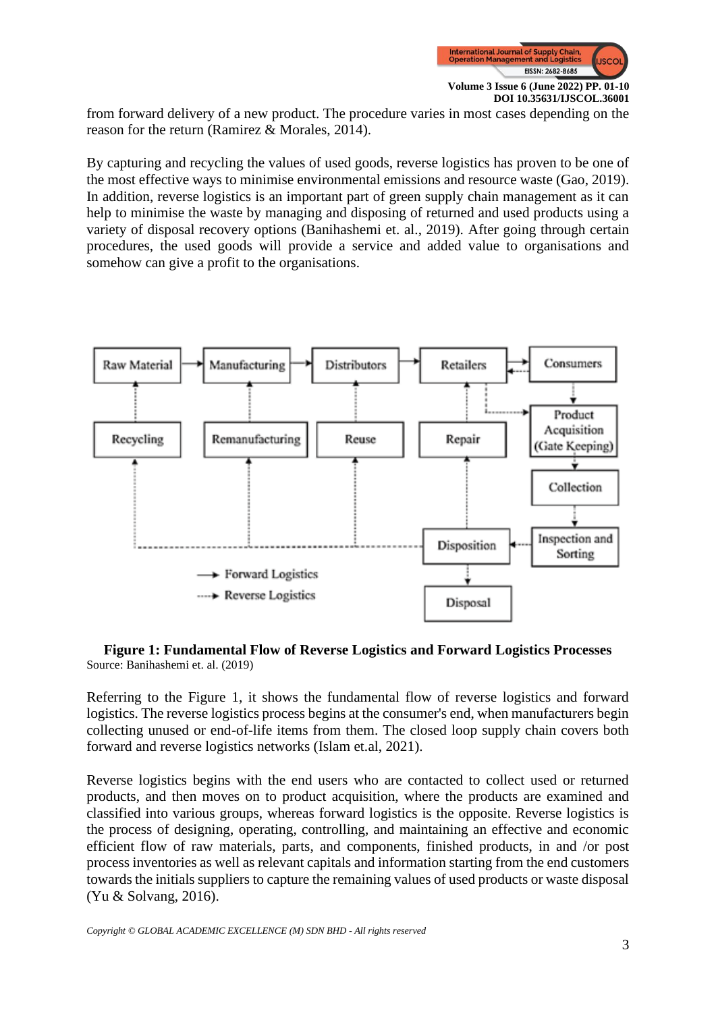

**DOI 10.35631/IJSCOL.36001**

from forward delivery of a new product. The procedure varies in most cases depending on the reason for the return (Ramirez & Morales, 2014).

By capturing and recycling the values of used goods, reverse logistics has proven to be one of the most effective ways to minimise environmental emissions and resource waste (Gao, 2019). In addition, reverse logistics is an important part of green supply chain management as it can help to minimise the waste by managing and disposing of returned and used products using a variety of disposal recovery options (Banihashemi et. al., 2019). After going through certain procedures, the used goods will provide a service and added value to organisations and somehow can give a profit to the organisations.



**Figure 1: Fundamental Flow of Reverse Logistics and Forward Logistics Processes** Source: Banihashemi et. al. (2019)

Referring to the Figure 1, it shows the fundamental flow of reverse logistics and forward logistics. The reverse logistics process begins at the consumer's end, when manufacturers begin collecting unused or end-of-life items from them. The closed loop supply chain covers both forward and reverse logistics networks (Islam et.al, 2021).

Reverse logistics begins with the end users who are contacted to collect used or returned products, and then moves on to product acquisition, where the products are examined and classified into various groups, whereas forward logistics is the opposite. Reverse logistics is the process of designing, operating, controlling, and maintaining an effective and economic efficient flow of raw materials, parts, and components, finished products, in and /or post process inventories as well as relevant capitals and information starting from the end customers towards the initials suppliers to capture the remaining values of used products or waste disposal (Yu & Solvang, 2016).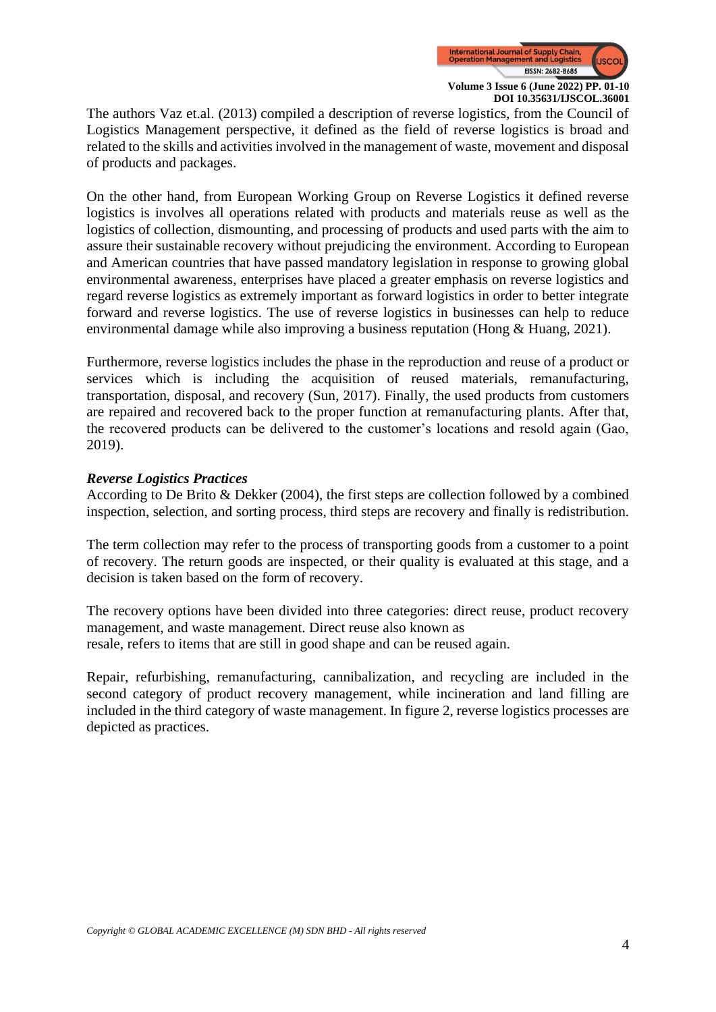

**Volume 3 Issue 6 (June 2022) PP. 01-10 DOI 10.35631/IJSCOL.36001**

The authors Vaz et.al. (2013) compiled a description of reverse logistics, from the Council of Logistics Management perspective, it defined as the field of reverse logistics is broad and related to the skills and activities involved in the management of waste, movement and disposal of products and packages.

On the other hand, from European Working Group on Reverse Logistics it defined reverse logistics is involves all operations related with products and materials reuse as well as the logistics of collection, dismounting, and processing of products and used parts with the aim to assure their sustainable recovery without prejudicing the environment. According to European and American countries that have passed mandatory legislation in response to growing global environmental awareness, enterprises have placed a greater emphasis on reverse logistics and regard reverse logistics as extremely important as forward logistics in order to better integrate forward and reverse logistics. The use of reverse logistics in businesses can help to reduce environmental damage while also improving a business reputation (Hong & Huang, 2021).

Furthermore, reverse logistics includes the phase in the reproduction and reuse of a product or services which is including the acquisition of reused materials, remanufacturing, transportation, disposal, and recovery (Sun, 2017). Finally, the used products from customers are repaired and recovered back to the proper function at remanufacturing plants. After that, the recovered products can be delivered to the customer's locations and resold again (Gao, 2019).

### *Reverse Logistics Practices*

According to De Brito & Dekker (2004), the first steps are collection followed by a combined inspection, selection, and sorting process, third steps are recovery and finally is redistribution.

The term collection may refer to the process of transporting goods from a customer to a point of recovery. The return goods are inspected, or their quality is evaluated at this stage, and a decision is taken based on the form of recovery.

The recovery options have been divided into three categories: direct reuse, product recovery management, and waste management. Direct reuse also known as resale, refers to items that are still in good shape and can be reused again.

Repair, refurbishing, remanufacturing, cannibalization, and recycling are included in the second category of product recovery management, while incineration and land filling are included in the third category of waste management. In figure 2, reverse logistics processes are depicted as practices.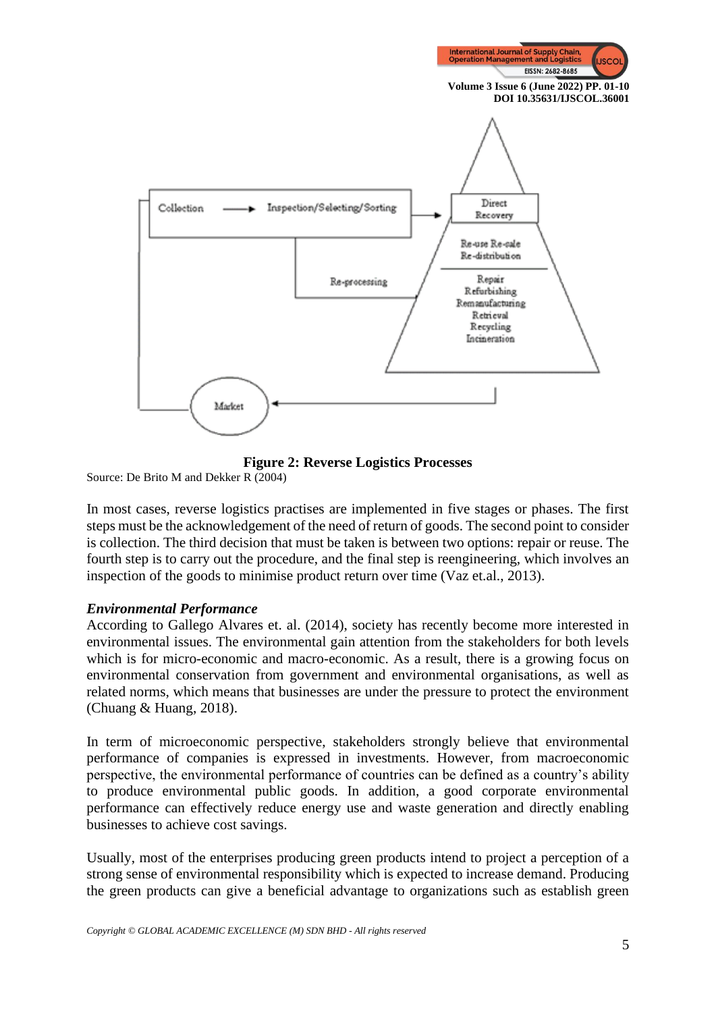

**Figure 2: Reverse Logistics Processes**

Source: De Brito M and Dekker R (2004)

In most cases, reverse logistics practises are implemented in five stages or phases. The first steps must be the acknowledgement of the need of return of goods. The second point to consider is collection. The third decision that must be taken is between two options: repair or reuse. The fourth step is to carry out the procedure, and the final step is reengineering, which involves an inspection of the goods to minimise product return over time (Vaz et.al., 2013).

# *Environmental Performance*

According to Gallego Alvares et. al. (2014), society has recently become more interested in environmental issues. The environmental gain attention from the stakeholders for both levels which is for micro-economic and macro-economic. As a result, there is a growing focus on environmental conservation from government and environmental organisations, as well as related norms, which means that businesses are under the pressure to protect the environment (Chuang & Huang, 2018).

In term of microeconomic perspective, stakeholders strongly believe that environmental performance of companies is expressed in investments. However, from macroeconomic perspective, the environmental performance of countries can be defined as a country's ability to produce environmental public goods. In addition, a good corporate environmental performance can effectively reduce energy use and waste generation and directly enabling businesses to achieve cost savings.

Usually, most of the enterprises producing green products intend to project a perception of a strong sense of environmental responsibility which is expected to increase demand. Producing the green products can give a beneficial advantage to organizations such as establish green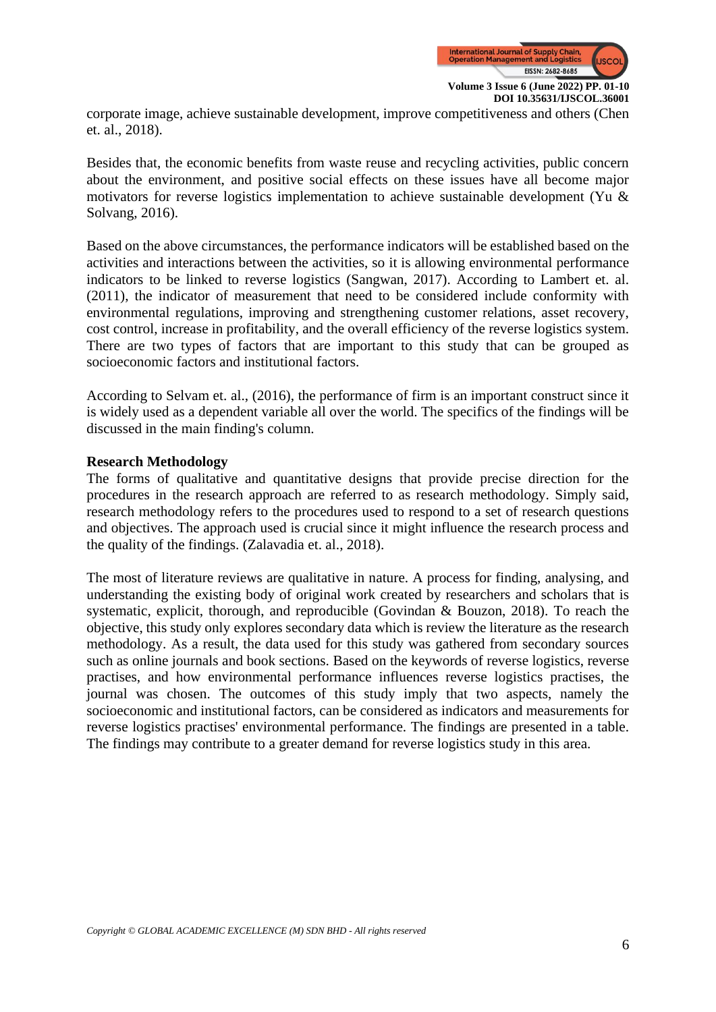

**DOI 10.35631/IJSCOL.36001**

corporate image, achieve sustainable development, improve competitiveness and others (Chen et. al., 2018).

Besides that, the economic benefits from waste reuse and recycling activities, public concern about the environment, and positive social effects on these issues have all become major motivators for reverse logistics implementation to achieve sustainable development (Yu & Solvang, 2016).

Based on the above circumstances, the performance indicators will be established based on the activities and interactions between the activities, so it is allowing environmental performance indicators to be linked to reverse logistics (Sangwan, 2017). According to Lambert et. al. (2011), the indicator of measurement that need to be considered include conformity with environmental regulations, improving and strengthening customer relations, asset recovery, cost control, increase in profitability, and the overall efficiency of the reverse logistics system. There are two types of factors that are important to this study that can be grouped as socioeconomic factors and institutional factors.

According to Selvam et. al., (2016), the performance of firm is an important construct since it is widely used as a dependent variable all over the world. The specifics of the findings will be discussed in the main finding's column.

#### **Research Methodology**

The forms of qualitative and quantitative designs that provide precise direction for the procedures in the research approach are referred to as research methodology. Simply said, research methodology refers to the procedures used to respond to a set of research questions and objectives. The approach used is crucial since it might influence the research process and the quality of the findings. (Zalavadia et. al., 2018).

The most of literature reviews are qualitative in nature. A process for finding, analysing, and understanding the existing body of original work created by researchers and scholars that is systematic, explicit, thorough, and reproducible (Govindan & Bouzon, 2018). To reach the objective, this study only explores secondary data which is review the literature as the research methodology. As a result, the data used for this study was gathered from secondary sources such as online journals and book sections. Based on the keywords of reverse logistics, reverse practises, and how environmental performance influences reverse logistics practises, the journal was chosen. The outcomes of this study imply that two aspects, namely the socioeconomic and institutional factors, can be considered as indicators and measurements for reverse logistics practises' environmental performance. The findings are presented in a table. The findings may contribute to a greater demand for reverse logistics study in this area.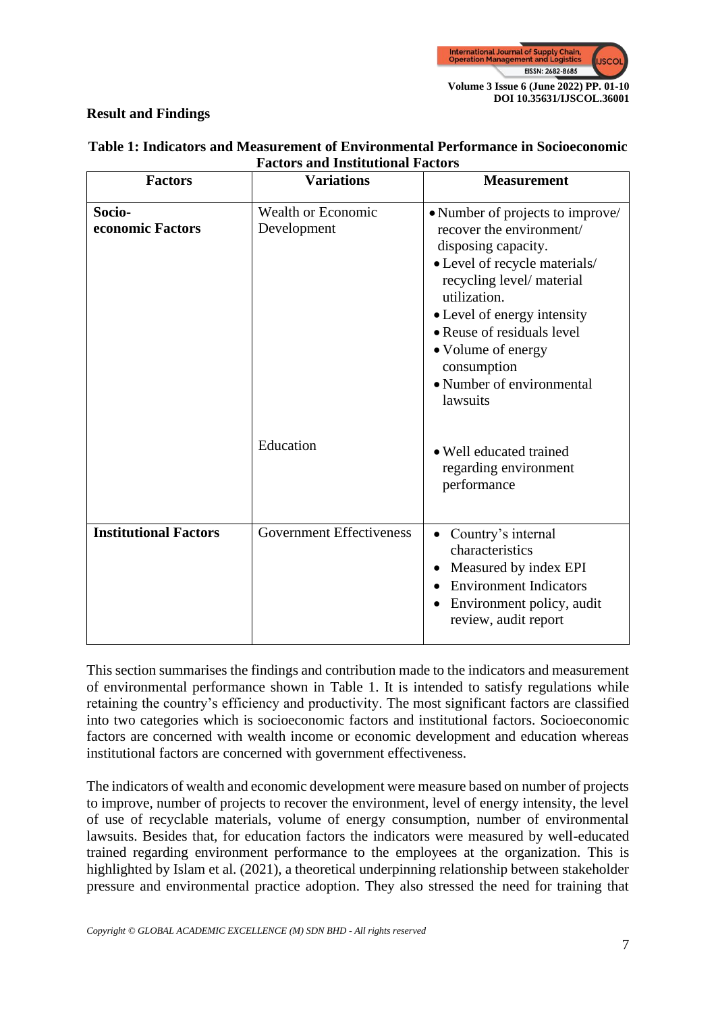

## **Result and Findings**

| <b>Factors</b>               | <b>Variations</b>                        | <b>Measurement</b>                                                                                                                                                                                                                                                                                           |
|------------------------------|------------------------------------------|--------------------------------------------------------------------------------------------------------------------------------------------------------------------------------------------------------------------------------------------------------------------------------------------------------------|
| Socio-<br>economic Factors   | <b>Wealth or Economic</b><br>Development | • Number of projects to improve/<br>recover the environment/<br>disposing capacity.<br>• Level of recycle materials/<br>recycling level/ material<br>utilization.<br>• Level of energy intensity<br>• Reuse of residuals level<br>• Volume of energy<br>consumption<br>• Number of environmental<br>lawsuits |
|                              | Education                                | • Well educated trained<br>regarding environment<br>performance                                                                                                                                                                                                                                              |
| <b>Institutional Factors</b> | <b>Government Effectiveness</b>          | Country's internal<br>characteristics<br>Measured by index EPI<br><b>Environment Indicators</b><br>Environment policy, audit<br>review, audit report                                                                                                                                                         |

#### **Table 1: Indicators and Measurement of Environmental Performance in Socioeconomic Factors and Institutional Factors**

This section summarises the findings and contribution made to the indicators and measurement of environmental performance shown in Table 1. It is intended to satisfy regulations while retaining the country's efficiency and productivity. The most significant factors are classified into two categories which is socioeconomic factors and institutional factors. Socioeconomic factors are concerned with wealth income or economic development and education whereas institutional factors are concerned with government effectiveness.

The indicators of wealth and economic development were measure based on number of projects to improve, number of projects to recover the environment, level of energy intensity, the level of use of recyclable materials, volume of energy consumption, number of environmental lawsuits. Besides that, for education factors the indicators were measured by well-educated trained regarding environment performance to the employees at the organization. This is highlighted by Islam et al. (2021), a theoretical underpinning relationship between stakeholder pressure and environmental practice adoption. They also stressed the need for training that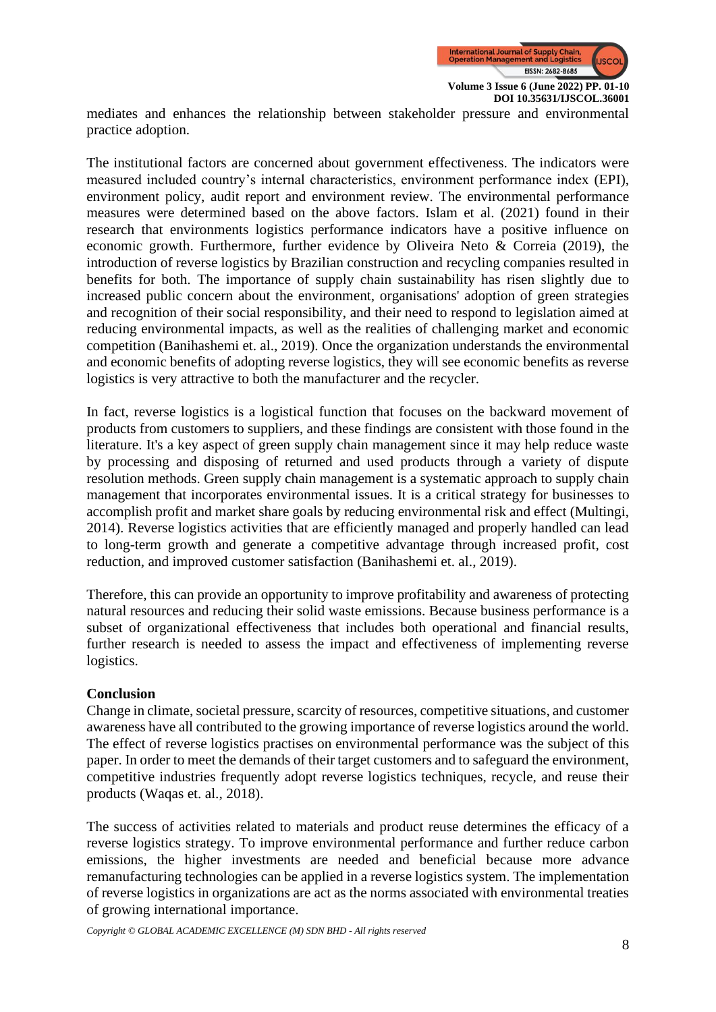

**Volume 3 Issue 6 (June 2022) PP. 01-10 DOI 10.35631/IJSCOL.36001**

mediates and enhances the relationship between stakeholder pressure and environmental practice adoption.

The institutional factors are concerned about government effectiveness. The indicators were measured included country's internal characteristics, environment performance index (EPI), environment policy, audit report and environment review. The environmental performance measures were determined based on the above factors. Islam et al. (2021) found in their research that environments logistics performance indicators have a positive influence on economic growth. Furthermore, further evidence by Oliveira Neto & Correia (2019), the introduction of reverse logistics by Brazilian construction and recycling companies resulted in benefits for both. The importance of supply chain sustainability has risen slightly due to increased public concern about the environment, organisations' adoption of green strategies and recognition of their social responsibility, and their need to respond to legislation aimed at reducing environmental impacts, as well as the realities of challenging market and economic competition (Banihashemi et. al., 2019). Once the organization understands the environmental and economic benefits of adopting reverse logistics, they will see economic benefits as reverse logistics is very attractive to both the manufacturer and the recycler.

In fact, reverse logistics is a logistical function that focuses on the backward movement of products from customers to suppliers, and these findings are consistent with those found in the literature. It's a key aspect of green supply chain management since it may help reduce waste by processing and disposing of returned and used products through a variety of dispute resolution methods. Green supply chain management is a systematic approach to supply chain management that incorporates environmental issues. It is a critical strategy for businesses to accomplish profit and market share goals by reducing environmental risk and effect (Multingi, 2014). Reverse logistics activities that are efficiently managed and properly handled can lead to long-term growth and generate a competitive advantage through increased profit, cost reduction, and improved customer satisfaction (Banihashemi et. al., 2019).

Therefore, this can provide an opportunity to improve profitability and awareness of protecting natural resources and reducing their solid waste emissions. Because business performance is a subset of organizational effectiveness that includes both operational and financial results, further research is needed to assess the impact and effectiveness of implementing reverse logistics.

### **Conclusion**

Change in climate, societal pressure, scarcity of resources, competitive situations, and customer awareness have all contributed to the growing importance of reverse logistics around the world. The effect of reverse logistics practises on environmental performance was the subject of this paper. In order to meet the demands of their target customers and to safeguard the environment, competitive industries frequently adopt reverse logistics techniques, recycle, and reuse their products (Waqas et. al., 2018).

The success of activities related to materials and product reuse determines the efficacy of a reverse logistics strategy. To improve environmental performance and further reduce carbon emissions, the higher investments are needed and beneficial because more advance remanufacturing technologies can be applied in a reverse logistics system. The implementation of reverse logistics in organizations are act as the norms associated with environmental treaties of growing international importance.

*Copyright © GLOBAL ACADEMIC EXCELLENCE (M) SDN BHD - All rights reserved*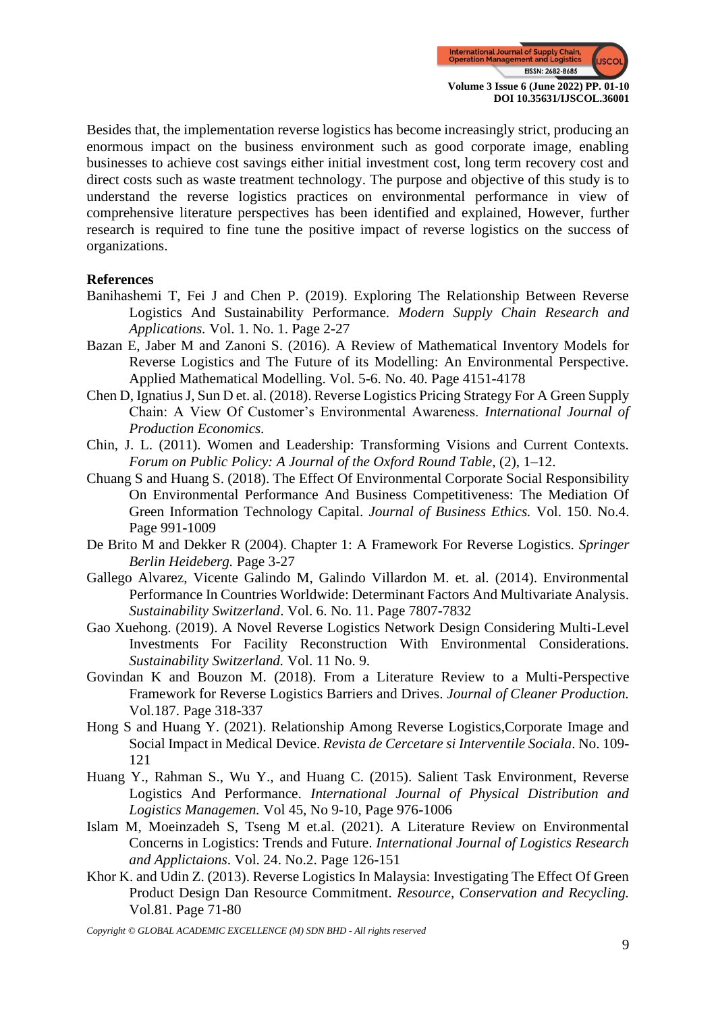

Besides that, the implementation reverse logistics has become increasingly strict, producing an enormous impact on the business environment such as good corporate image, enabling businesses to achieve cost savings either initial investment cost, long term recovery cost and direct costs such as waste treatment technology. The purpose and objective of this study is to understand the reverse logistics practices on environmental performance in view of comprehensive literature perspectives has been identified and explained, However, further research is required to fine tune the positive impact of reverse logistics on the success of organizations.

### **References**

- Banihashemi T, Fei J and Chen P. (2019). Exploring The Relationship Between Reverse Logistics And Sustainability Performance. *Modern Supply Chain Research and Applications.* Vol. 1. No. 1. Page 2-27
- Bazan E, Jaber M and Zanoni S. (2016). A Review of Mathematical Inventory Models for Reverse Logistics and The Future of its Modelling: An Environmental Perspective. Applied Mathematical Modelling. Vol. 5-6. No. 40. Page 4151-4178
- Chen D, Ignatius J, Sun D et. al. (2018). Reverse Logistics Pricing Strategy For A Green Supply Chain: A View Of Customer's Environmental Awareness. *International Journal of Production Economics.*
- Chin, J. L. (2011). Women and Leadership: Transforming Visions and Current Contexts. *Forum on Public Policy: A Journal of the Oxford Round Table*, (2), 1–12.
- Chuang S and Huang S. (2018). The Effect Of Environmental Corporate Social Responsibility On Environmental Performance And Business Competitiveness: The Mediation Of Green Information Technology Capital. *Journal of Business Ethics.* Vol. 150. No.4. Page 991-1009
- De Brito M and Dekker R (2004). Chapter 1: A Framework For Reverse Logistics. *Springer Berlin Heideberg.* Page 3-27
- Gallego Alvarez, Vicente Galindo M, Galindo Villardon M. et. al. (2014). Environmental Performance In Countries Worldwide: Determinant Factors And Multivariate Analysis. *Sustainability Switzerland*. Vol. 6. No. 11. Page 7807-7832
- Gao Xuehong. (2019). A Novel Reverse Logistics Network Design Considering Multi-Level Investments For Facility Reconstruction With Environmental Considerations. *Sustainability Switzerland.* Vol. 11 No. 9.
- Govindan K and Bouzon M. (2018). From a Literature Review to a Multi-Perspective Framework for Reverse Logistics Barriers and Drives. *Journal of Cleaner Production.* Vol.187. Page 318-337
- Hong S and Huang Y. (2021). Relationship Among Reverse Logistics,Corporate Image and Social Impact in Medical Device. *Revista de Cercetare si Interventile Sociala*. No. 109- 121
- Huang Y., Rahman S., Wu Y., and Huang C. (2015). Salient Task Environment, Reverse Logistics And Performance. *International Journal of Physical Distribution and Logistics Managemen.* Vol 45, No 9-10, Page 976-1006
- Islam M, Moeinzadeh S, Tseng M et.al. (2021). A Literature Review on Environmental Concerns in Logistics: Trends and Future. *International Journal of Logistics Research and Applictaions*. Vol. 24. No.2. Page 126-151
- Khor K. and Udin Z. (2013). Reverse Logistics In Malaysia: Investigating The Effect Of Green Product Design Dan Resource Commitment. *Resource, Conservation and Recycling.* Vol.81. Page 71-80